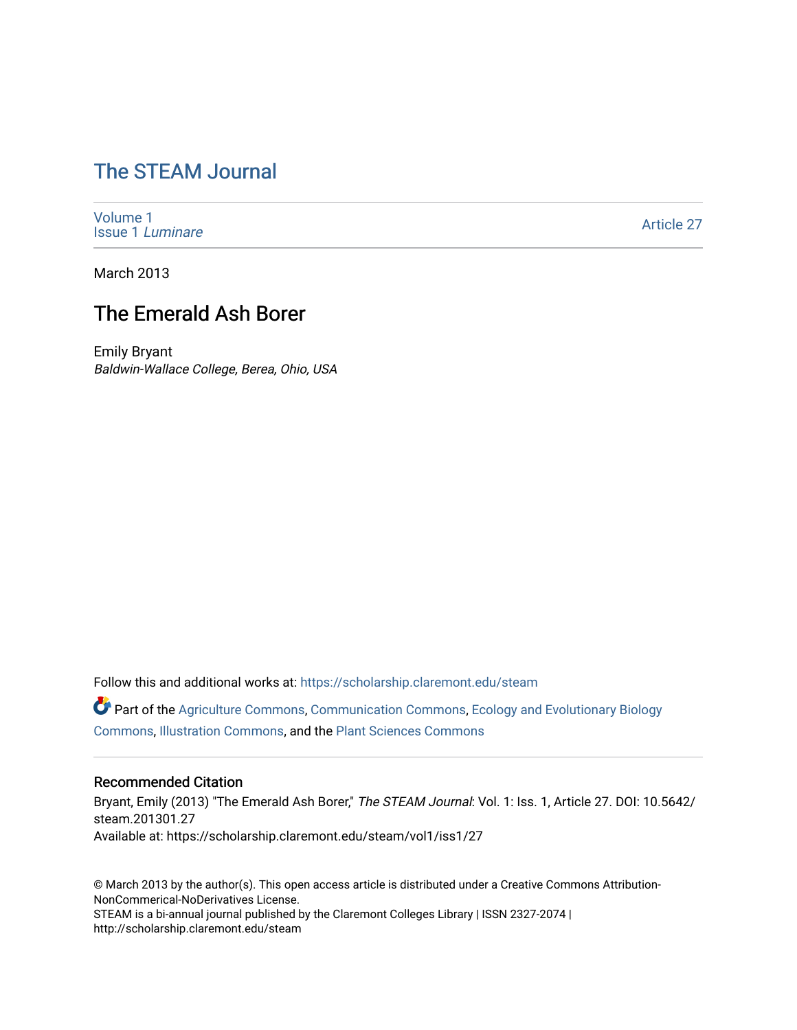## [The STEAM Journal](https://scholarship.claremont.edu/steam)

[Volume 1](https://scholarship.claremont.edu/steam/vol1) [Issue 1](https://scholarship.claremont.edu/steam/vol1/iss1) Luminare

[Article 27](https://scholarship.claremont.edu/steam/vol1/iss1/27) 

March 2013

### The Emerald Ash Borer

Emily Bryant Baldwin-Wallace College, Berea, Ohio, USA

Follow this and additional works at: [https://scholarship.claremont.edu/steam](https://scholarship.claremont.edu/steam?utm_source=scholarship.claremont.edu%2Fsteam%2Fvol1%2Fiss1%2F27&utm_medium=PDF&utm_campaign=PDFCoverPages) 

Part of the [Agriculture Commons](https://network.bepress.com/hgg/discipline/1076?utm_source=scholarship.claremont.edu%2Fsteam%2Fvol1%2Fiss1%2F27&utm_medium=PDF&utm_campaign=PDFCoverPages), [Communication Commons](https://network.bepress.com/hgg/discipline/325?utm_source=scholarship.claremont.edu%2Fsteam%2Fvol1%2Fiss1%2F27&utm_medium=PDF&utm_campaign=PDFCoverPages), [Ecology and Evolutionary Biology](https://network.bepress.com/hgg/discipline/14?utm_source=scholarship.claremont.edu%2Fsteam%2Fvol1%2Fiss1%2F27&utm_medium=PDF&utm_campaign=PDFCoverPages)  [Commons](https://network.bepress.com/hgg/discipline/14?utm_source=scholarship.claremont.edu%2Fsteam%2Fvol1%2Fiss1%2F27&utm_medium=PDF&utm_campaign=PDFCoverPages), [Illustration Commons](https://network.bepress.com/hgg/discipline/1135?utm_source=scholarship.claremont.edu%2Fsteam%2Fvol1%2Fiss1%2F27&utm_medium=PDF&utm_campaign=PDFCoverPages), and the [Plant Sciences Commons](https://network.bepress.com/hgg/discipline/102?utm_source=scholarship.claremont.edu%2Fsteam%2Fvol1%2Fiss1%2F27&utm_medium=PDF&utm_campaign=PDFCoverPages)

#### Recommended Citation

Bryant, Emily (2013) "The Emerald Ash Borer," The STEAM Journal: Vol. 1: Iss. 1, Article 27. DOI: 10.5642/ steam.201301.27 Available at: https://scholarship.claremont.edu/steam/vol1/iss1/27

© March 2013 by the author(s). This open access article is distributed under a Creative Commons Attribution-NonCommerical-NoDerivatives License. STEAM is a bi-annual journal published by the Claremont Colleges Library | ISSN 2327-2074 | http://scholarship.claremont.edu/steam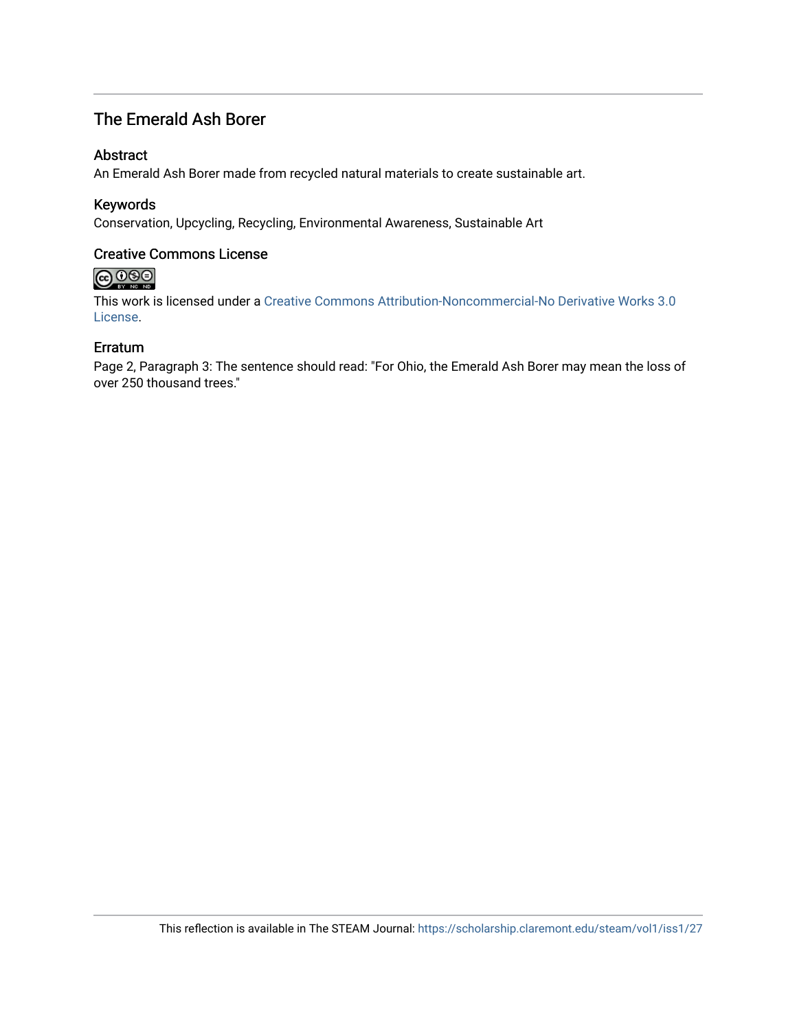### The Emerald Ash Borer

#### Abstract

An Emerald Ash Borer made from recycled natural materials to create sustainable art.

### Keywords

Conservation, Upcycling, Recycling, Environmental Awareness, Sustainable Art

### Creative Commons License

# $\bigcirc$   $\bigcirc$   $\bigcirc$

This work is licensed under a [Creative Commons Attribution-Noncommercial-No Derivative Works 3.0](https://creativecommons.org/licenses/by-nc-nd/3.0/) [License](https://creativecommons.org/licenses/by-nc-nd/3.0/).

#### Erratum

Page 2, Paragraph 3: The sentence should read: "For Ohio, the Emerald Ash Borer may mean the loss of over 250 thousand trees."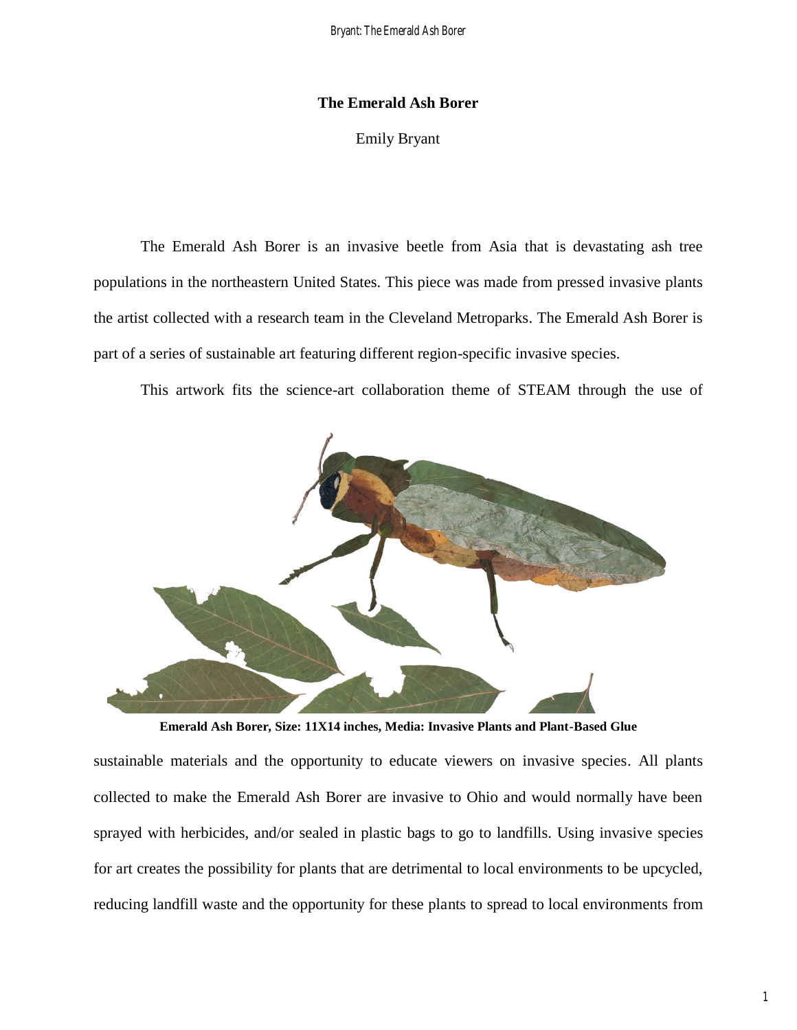#### **The Emerald Ash Borer**

Emily Bryant

The Emerald Ash Borer is an invasive beetle from Asia that is devastating ash tree populations in the northeastern United States. This piece was made from pressed invasive plants the artist collected with a research team in the Cleveland Metroparks. The Emerald Ash Borer is part of a series of sustainable art featuring different region-specific invasive species.

This artwork fits the science-art collaboration theme of STEAM through the use of



**Emerald Ash Borer, Size: 11X14 inches, Media: Invasive Plants and Plant-Based Glue**

sustainable materials and the opportunity to educate viewers on invasive species. All plants collected to make the Emerald Ash Borer are invasive to Ohio and would normally have been sprayed with herbicides, and/or sealed in plastic bags to go to landfills. Using invasive species for art creates the possibility for plants that are detrimental to local environments to be upcycled, reducing landfill waste and the opportunity for these plants to spread to local environments from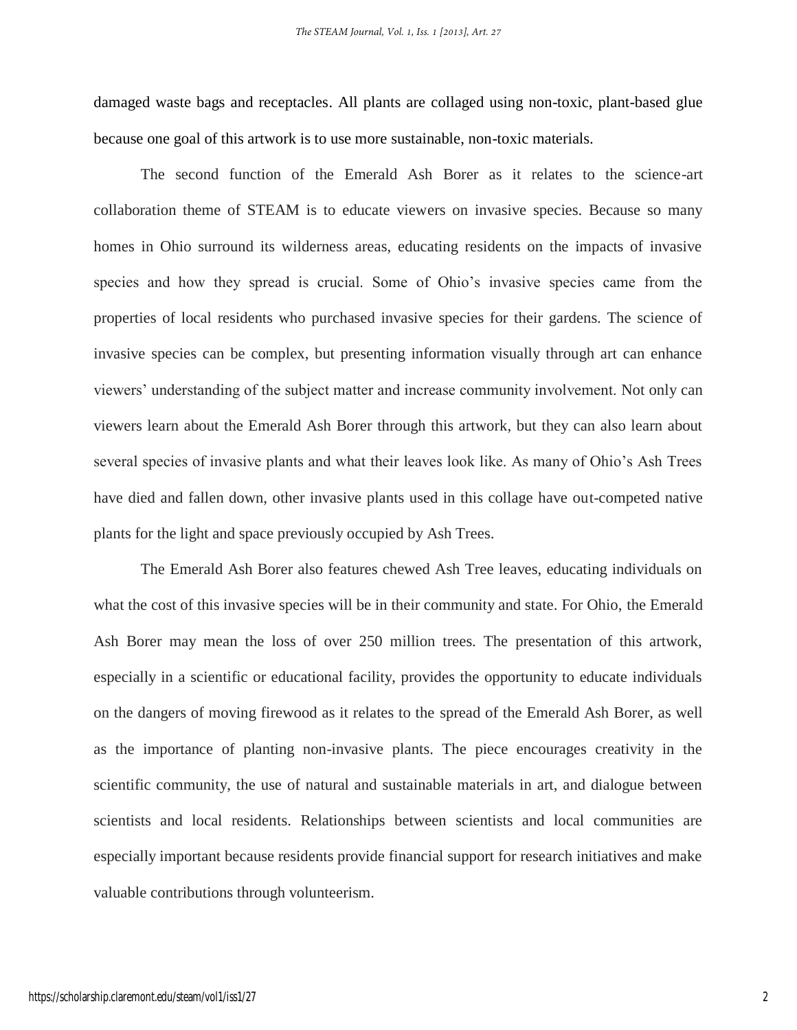damaged waste bags and receptacles. All plants are collaged using non-toxic, plant-based glue because one goal of this artwork is to use more sustainable, non-toxic materials.

The second function of the Emerald Ash Borer as it relates to the science-art collaboration theme of STEAM is to educate viewers on invasive species. Because so many homes in Ohio surround its wilderness areas, educating residents on the impacts of invasive species and how they spread is crucial. Some of Ohio's invasive species came from the properties of local residents who purchased invasive species for their gardens. The science of invasive species can be complex, but presenting information visually through art can enhance viewers' understanding of the subject matter and increase community involvement. Not only can viewers learn about the Emerald Ash Borer through this artwork, but they can also learn about several species of invasive plants and what their leaves look like. As many of Ohio's Ash Trees have died and fallen down, other invasive plants used in this collage have out-competed native plants for the light and space previously occupied by Ash Trees.

The Emerald Ash Borer also features chewed Ash Tree leaves, educating individuals on what the cost of this invasive species will be in their community and state. For Ohio, the Emerald Ash Borer may mean the loss of over 250 million trees. The presentation of this artwork, especially in a scientific or educational facility, provides the opportunity to educate individuals on the dangers of moving firewood as it relates to the spread of the Emerald Ash Borer, as well as the importance of planting non-invasive plants. The piece encourages creativity in the scientific community, the use of natural and sustainable materials in art, and dialogue between scientists and local residents. Relationships between scientists and local communities are especially important because residents provide financial support for research initiatives and make valuable contributions through volunteerism.